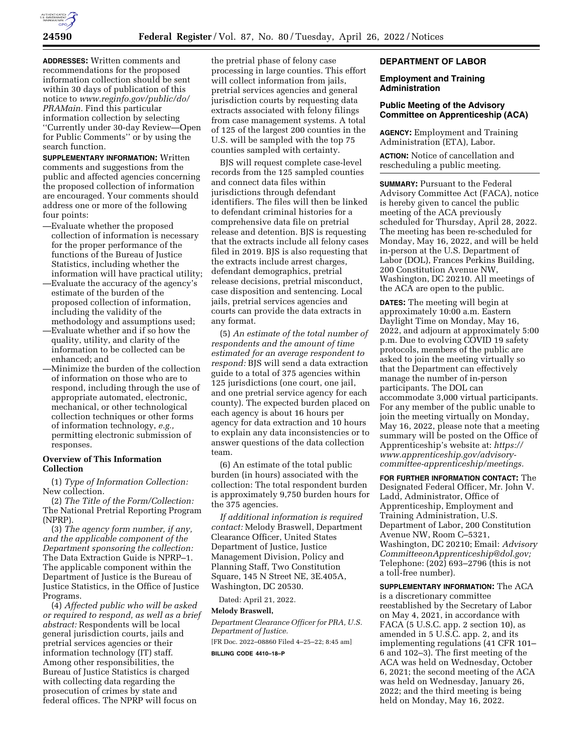

**ADDRESSES:** Written comments and recommendations for the proposed information collection should be sent within 30 days of publication of this notice to *[www.reginfo.gov/public/do/](http://www.reginfo.gov/public/do/PRAMain) [PRAMain.](http://www.reginfo.gov/public/do/PRAMain)* Find this particular information collection by selecting ''Currently under 30-day Review—Open for Public Comments'' or by using the search function.

**SUPPLEMENTARY INFORMATION:** Written comments and suggestions from the public and affected agencies concerning the proposed collection of information are encouraged. Your comments should address one or more of the following four points:

- —Evaluate whether the proposed collection of information is necessary for the proper performance of the functions of the Bureau of Justice Statistics, including whether the information will have practical utility;
- —Evaluate the accuracy of the agency's estimate of the burden of the proposed collection of information, including the validity of the methodology and assumptions used;
- —Evaluate whether and if so how the quality, utility, and clarity of the information to be collected can be enhanced; and
- —Minimize the burden of the collection of information on those who are to respond, including through the use of appropriate automated, electronic, mechanical, or other technological collection techniques or other forms of information technology, *e.g.,*  permitting electronic submission of responses.

### **Overview of This Information Collection**

(1) *Type of Information Collection:*  New collection.

(2) *The Title of the Form/Collection:*  The National Pretrial Reporting Program (NPRP).

(3) *The agency form number, if any, and the applicable component of the Department sponsoring the collection:*  The Data Extraction Guide is NPRP–1. The applicable component within the Department of Justice is the Bureau of Justice Statistics, in the Office of Justice Programs.

(4) *Affected public who will be asked or required to respond, as well as a brief abstract:* Respondents will be local general jurisdiction courts, jails and pretrial services agencies or their information technology (IT) staff. Among other responsibilities, the Bureau of Justice Statistics is charged with collecting data regarding the prosecution of crimes by state and federal offices. The NPRP will focus on

the pretrial phase of felony case processing in large counties. This effort will collect information from jails, pretrial services agencies and general jurisdiction courts by requesting data extracts associated with felony filings from case management systems. A total of 125 of the largest 200 counties in the U.S. will be sampled with the top 75 counties sampled with certainty.

BJS will request complete case-level records from the 125 sampled counties and connect data files within jurisdictions through defendant identifiers. The files will then be linked to defendant criminal histories for a comprehensive data file on pretrial release and detention. BJS is requesting that the extracts include all felony cases filed in 2019. BJS is also requesting that the extracts include arrest charges, defendant demographics, pretrial release decisions, pretrial misconduct, case disposition and sentencing. Local jails, pretrial services agencies and courts can provide the data extracts in any format.

(5) *An estimate of the total number of respondents and the amount of time estimated for an average respondent to respond:* BJS will send a data extraction guide to a total of 375 agencies within 125 jurisdictions (one court, one jail, and one pretrial service agency for each county). The expected burden placed on each agency is about 16 hours per agency for data extraction and 10 hours to explain any data inconsistencies or to answer questions of the data collection team.

(6) An estimate of the total public burden (in hours) associated with the collection: The total respondent burden is approximately 9,750 burden hours for the 375 agencies.

*If additional information is required contact:* Melody Braswell, Department Clearance Officer, United States Department of Justice, Justice Management Division, Policy and Planning Staff, Two Constitution Square, 145 N Street NE, 3E.405A, Washington, DC 20530.

Dated: April 21, 2022.

# **Melody Braswell,**

*Department Clearance Officer for PRA, U.S. Department of Justice.*  [FR Doc. 2022–08860 Filed 4–25–22; 8:45 am] **BILLING CODE 4410–18–P** 

# **DEPARTMENT OF LABOR**

#### **Employment and Training Administration**

# **Public Meeting of the Advisory Committee on Apprenticeship (ACA)**

**AGENCY:** Employment and Training Administration (ETA), Labor.

**ACTION:** Notice of cancellation and rescheduling a public meeting.

**SUMMARY: Pursuant to the Federal** Advisory Committee Act (FACA), notice is hereby given to cancel the public meeting of the ACA previously scheduled for Thursday, April 28, 2022. The meeting has been re-scheduled for Monday, May 16, 2022, and will be held in-person at the U.S. Department of Labor (DOL), Frances Perkins Building, 200 Constitution Avenue NW, Washington, DC 20210. All meetings of the ACA are open to the public.

**DATES:** The meeting will begin at approximately 10:00 a.m. Eastern Daylight Time on Monday, May 16, 2022, and adjourn at approximately 5:00 p.m. Due to evolving COVID 19 safety protocols, members of the public are asked to join the meeting virtually so that the Department can effectively manage the number of in-person participants. The DOL can accommodate 3,000 virtual participants. For any member of the public unable to join the meeting virtually on Monday, May 16, 2022, please note that a meeting summary will be posted on the Office of Apprenticeship's website at: *[https://](https://www.apprenticeship.gov/advisory-committee-apprenticeship/meetings) [www.apprenticeship.gov/advisory](https://www.apprenticeship.gov/advisory-committee-apprenticeship/meetings)[committee-apprenticeship/meetings.](https://www.apprenticeship.gov/advisory-committee-apprenticeship/meetings)* 

**FOR FURTHER INFORMATION CONTACT:** The Designated Federal Officer, Mr. John V. Ladd, Administrator, Office of Apprenticeship, Employment and Training Administration, U.S. Department of Labor, 200 Constitution Avenue NW, Room C–5321, Washington, DC 20210; Email: *[Advisory](mailto:AdvisoryCommitteeonApprenticeship@dol.gov) [CommitteeonApprenticeship@dol.gov;](mailto:AdvisoryCommitteeonApprenticeship@dol.gov)*  Telephone: (202) 693–2796 (this is not a toll-free number).

**SUPPLEMENTARY INFORMATION:** The ACA is a discretionary committee reestablished by the Secretary of Labor on May 4, 2021, in accordance with FACA (5 U.S.C. app. 2 section 10), as amended in 5 U.S.C. app. 2, and its implementing regulations (41 CFR 101– 6 and 102–3). The first meeting of the ACA was held on Wednesday, October 6, 2021; the second meeting of the ACA was held on Wednesday, January 26, 2022; and the third meeting is being held on Monday, May 16, 2022.